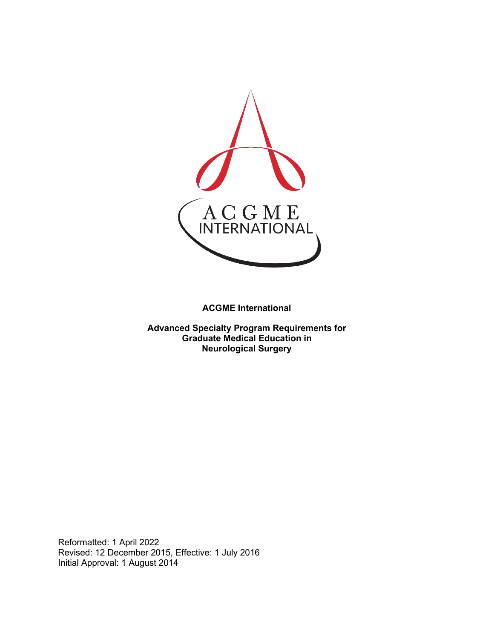

**ACGME International** 

**Advanced Specialty Program Requirements for Graduate Medical Education in Neurological Surgery**

Reformatted: 1 April 2022 Revised: 12 December 2015, Effective: 1 July 2016 Initial Approval: 1 August 2014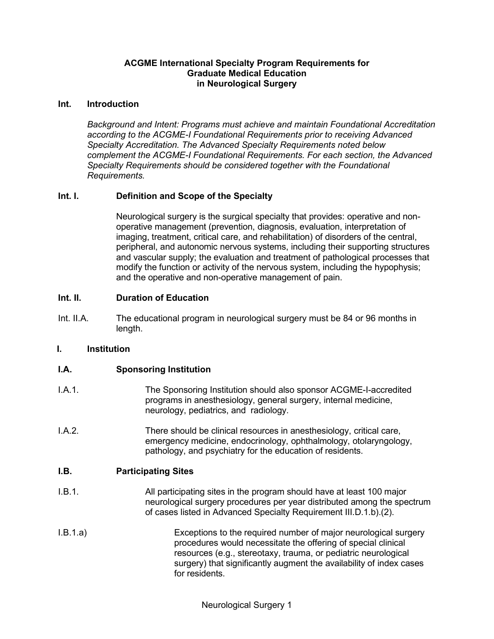## **ACGME International Specialty Program Requirements for Graduate Medical Education in Neurological Surgery**

#### **Int. Introduction**

*Background and Intent: Programs must achieve and maintain Foundational Accreditation according to the ACGME-I Foundational Requirements prior to receiving Advanced Specialty Accreditation. The Advanced Specialty Requirements noted below complement the ACGME-I Foundational Requirements. For each section, the Advanced Specialty Requirements should be considered together with the Foundational Requirements.*

## **Int. I. Definition and Scope of the Specialty**

Neurological surgery is the surgical specialty that provides: operative and nonoperative management (prevention, diagnosis, evaluation, interpretation of imaging, treatment, critical care, and rehabilitation) of disorders of the central, peripheral, and autonomic nervous systems, including their supporting structures and vascular supply; the evaluation and treatment of pathological processes that modify the function or activity of the nervous system, including the hypophysis; and the operative and non-operative management of pain.

## **Int. II. Duration of Education**

Int. II.A. The educational program in neurological surgery must be 84 or 96 months in length.

#### **I. Institution**

## **I.A. Sponsoring Institution**

- I.A.1. The Sponsoring Institution should also sponsor ACGME-I-accredited programs in anesthesiology, general surgery, internal medicine, neurology, pediatrics, and radiology.
- I.A.2. There should be clinical resources in anesthesiology, critical care, emergency medicine, endocrinology, ophthalmology, otolaryngology, pathology, and psychiatry for the education of residents.

#### **I.B. Participating Sites**

- I.B.1. All participating sites in the program should have at least 100 major neurological surgery procedures per year distributed among the spectrum of cases listed in Advanced Specialty Requirement III.D.1.b).(2).
- I.B.1.a) Exceptions to the required number of major neurological surgery procedures would necessitate the offering of special clinical resources (e.g., stereotaxy, trauma, or pediatric neurological surgery) that significantly augment the availability of index cases for residents.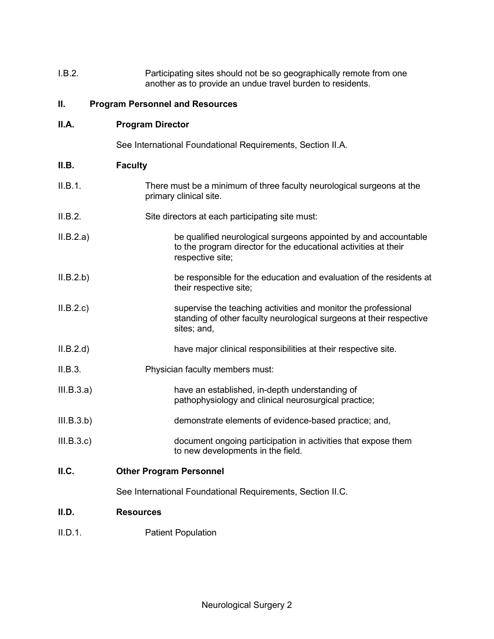| I.B.2. | Participating sites should not be so geographically remote from one |
|--------|---------------------------------------------------------------------|
|        | another as to provide an undue travel burden to residents.          |

### **II. Program Personnel and Resources**

| II.A. | <b>Program Director</b> |
|-------|-------------------------|
|-------|-------------------------|

See International Foundational Requirements, Section II.A.

## **II.B. Faculty**

- II.B.1. There must be a minimum of three faculty neurological surgeons at the primary clinical site.
- II.B.2. Site directors at each participating site must:
- II.B.2.a) be qualified neurological surgeons appointed by and accountable to the program director for the educational activities at their respective site;
- II.B.2.b) be responsible for the education and evaluation of the residents at their respective site;
- II.B.2.c) supervise the teaching activities and monitor the professional standing of other faculty neurological surgeons at their respective sites; and,
- II.B.2.d) have major clinical responsibilities at their respective site.
- II.B.3. Physician faculty members must:
- III.B.3.a) have an established, in-depth understanding of pathophysiology and clinical neurosurgical practice;
- III.B.3.b) demonstrate elements of evidence-based practice; and,
- III.B.3.c) document ongoing participation in activities that expose them to new developments in the field.
- **II.C. Other Program Personnel**

See International Foundational Requirements, Section II.C.

## **II.D. Resources**

II.D.1. Patient Population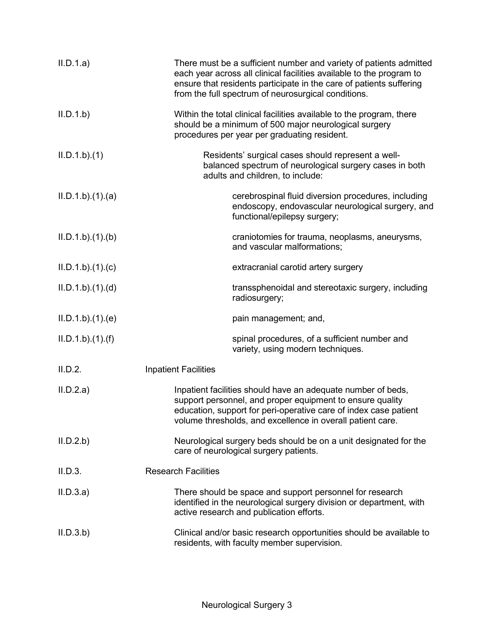| II.D.1.a)      | There must be a sufficient number and variety of patients admitted<br>each year across all clinical facilities available to the program to<br>ensure that residents participate in the care of patients suffering<br>from the full spectrum of neurosurgical conditions. |
|----------------|--------------------------------------------------------------------------------------------------------------------------------------------------------------------------------------------------------------------------------------------------------------------------|
| II.D.1.b       | Within the total clinical facilities available to the program, there<br>should be a minimum of 500 major neurological surgery<br>procedures per year per graduating resident.                                                                                            |
| ILD.1.b)(1)    | Residents' surgical cases should represent a well-<br>balanced spectrum of neurological surgery cases in both<br>adults and children, to include:                                                                                                                        |
| ILD.1.b)(1)(a) | cerebrospinal fluid diversion procedures, including<br>endoscopy, endovascular neurological surgery, and<br>functional/epilepsy surgery;                                                                                                                                 |
| ILD.1.b)(1)(b) | craniotomies for trauma, neoplasms, aneurysms,<br>and vascular malformations;                                                                                                                                                                                            |
| ILD.1.b)(1)(c) | extracranial carotid artery surgery                                                                                                                                                                                                                                      |
| ILD.1.b)(1)(d) | transsphenoidal and stereotaxic surgery, including<br>radiosurgery;                                                                                                                                                                                                      |
| ILD.1.b)(1)(e) | pain management; and,                                                                                                                                                                                                                                                    |
| ILD.1.b)(1)(f) | spinal procedures, of a sufficient number and<br>variety, using modern techniques.                                                                                                                                                                                       |
| II.D.2.        | <b>Inpatient Facilities</b>                                                                                                                                                                                                                                              |
| II.D.2.a)      | Inpatient facilities should have an adequate number of beds,<br>support personnel, and proper equipment to ensure quality<br>education, support for peri-operative care of index case patient<br>volume thresholds, and excellence in overall patient care.              |
| II.D.2.b       | Neurological surgery beds should be on a unit designated for the<br>care of neurological surgery patients.                                                                                                                                                               |
| II.D.3.        | <b>Research Facilities</b>                                                                                                                                                                                                                                               |
| II.D.3.a)      | There should be space and support personnel for research<br>identified in the neurological surgery division or department, with<br>active research and publication efforts.                                                                                              |
| II.D.3.b)      | Clinical and/or basic research opportunities should be available to<br>residents, with faculty member supervision.                                                                                                                                                       |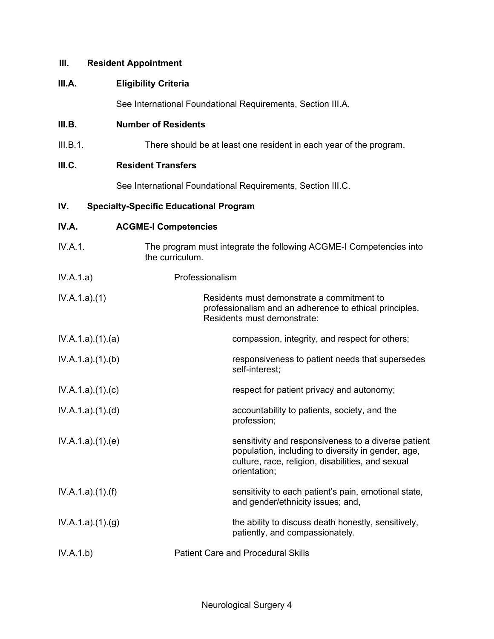### **III. Resident Appointment**

### **III.A. Eligibility Criteria**

See International Foundational Requirements, Section III.A.

#### **III.B. Number of Residents**

III.B.1. There should be at least one resident in each year of the program.

### **III.C. Resident Transfers**

See International Foundational Requirements, Section III.C.

### **IV. Specialty-Specific Educational Program**

## **IV.A. ACGME-I Competencies**

- IV.A.1. The program must integrate the following ACGME-I Competencies into the curriculum. IV.A.1.a) Professionalism IV.A.1.a).(1) Residents must demonstrate a commitment to professionalism and an adherence to ethical principles. Residents must demonstrate: IV.A.1.a).(1).(a) compassion, integrity, and respect for others; IV.A.1.a).(1).(b) responsiveness to patient needs that supersedes self-interest;
- IV.A.1.a).(1).(c) respect for patient privacy and autonomy;
- IV.A.1.a).(1).(d) accountability to patients, society, and the profession;
- IV.A.1.a).(1).(e) sensitivity and responsiveness to a diverse patient population, including to diversity in gender, age, culture, race, religion, disabilities, and sexual orientation;
- IV.A.1.a).(1).(f) TV.A.1.a).(1).(f) Sensitivity to each patient's pain, emotional state, and gender/ethnicity issues; and,
- $IV.A.1.a)(1)(g)$  the ability to discuss death honestly, sensitively, patiently, and compassionately.
- IV.A.1.b) Patient Care and Procedural Skills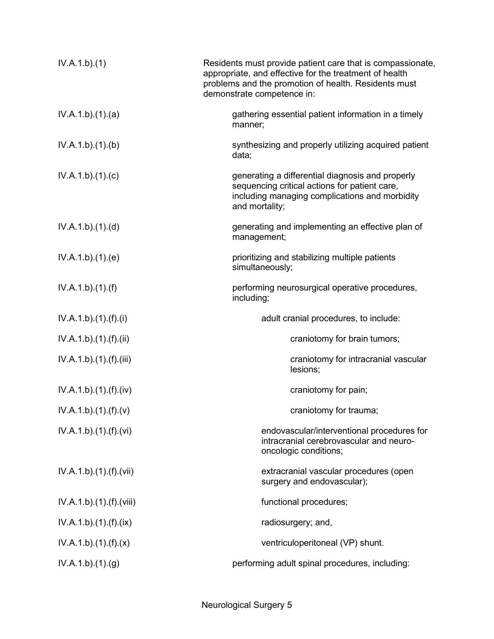| IV.A.1.b)(1)             | Residents must provide patient care that is compassionate,<br>appropriate, and effective for the treatment of health<br>problems and the promotion of health. Residents must<br>demonstrate competence in: |
|--------------------------|------------------------------------------------------------------------------------------------------------------------------------------------------------------------------------------------------------|
| IV.A.1.b)(1)(a)          | gathering essential patient information in a timely<br>manner;                                                                                                                                             |
| IV.A.1.b)(1)(b)          | synthesizing and properly utilizing acquired patient<br>data;                                                                                                                                              |
| IV.A.1.b)(1)(c)          | generating a differential diagnosis and properly<br>sequencing critical actions for patient care,<br>including managing complications and morbidity<br>and mortality;                                      |
| IV.A.1.b)(1)(d)          | generating and implementing an effective plan of<br>management;                                                                                                                                            |
| IV.A.1.b)(1)(e)          | prioritizing and stabilizing multiple patients<br>simultaneously;                                                                                                                                          |
| IV.A.1.b)(1)(f)          | performing neurosurgical operative procedures,<br>including;                                                                                                                                               |
| IV.A.1.b).(1).(f).(i)    | adult cranial procedures, to include:                                                                                                                                                                      |
| IV.A.1.b)(1)(f)(ii)      | craniotomy for brain tumors;                                                                                                                                                                               |
| IV.A.1.b)(1)(f)(iii)     | craniotomy for intracranial vascular<br>lesions;                                                                                                                                                           |
| IV.A.1.b)(1).(f)(iv)     | craniotomy for pain;                                                                                                                                                                                       |
| IV.A.1.b)(1)(f)(v)       | craniotomy for trauma;                                                                                                                                                                                     |
| IV.A.1.b)(1).(f)(vi)     | endovascular/interventional procedures for<br>intracranial cerebrovascular and neuro-<br>oncologic conditions;                                                                                             |
| IV.A.1.b)(1)(f)(vii)     | extracranial vascular procedures (open<br>surgery and endovascular);                                                                                                                                       |
| IV.A.1.b).(1).(f).(viii) | functional procedures;                                                                                                                                                                                     |
| IV.A.1.b)(1)(f)(ix)      | radiosurgery; and,                                                                                                                                                                                         |
| IV.A.1.b)(1).(f)(x)      | ventriculoperitoneal (VP) shunt.                                                                                                                                                                           |
| IV.A.1.b)(1)(g)          | performing adult spinal procedures, including:                                                                                                                                                             |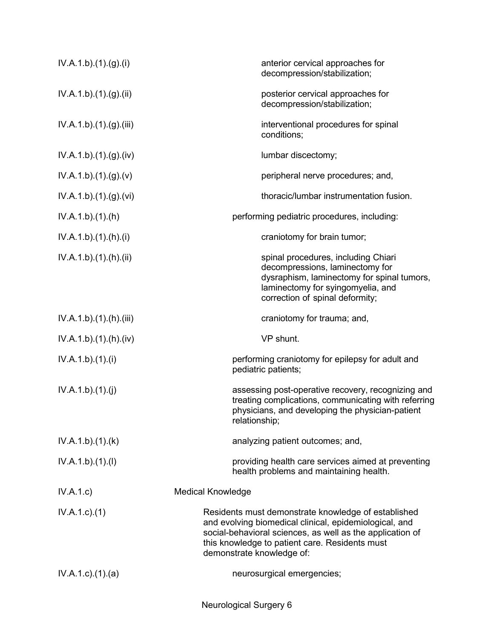| IV.A.1.b)(1)(g)(i)        | anterior cervical approaches for<br>decompression/stabilization;                                                                                                                                                                                          |
|---------------------------|-----------------------------------------------------------------------------------------------------------------------------------------------------------------------------------------------------------------------------------------------------------|
| IV.A.1.b).(1).(g).(ii)    | posterior cervical approaches for<br>decompression/stabilization;                                                                                                                                                                                         |
| IV.A.1.b)(1)(g)(iii)      | interventional procedures for spinal<br>conditions;                                                                                                                                                                                                       |
| IV.A.1.b) (1) (g) (iv)    | lumbar discectomy;                                                                                                                                                                                                                                        |
| IV.A.1.b)(1)(g)(v)        | peripheral nerve procedures; and,                                                                                                                                                                                                                         |
| IV.A.1.b) (1) (g) (vi)    | thoracic/lumbar instrumentation fusion.                                                                                                                                                                                                                   |
| IV.A.1.b)(1)(h)           | performing pediatric procedures, including:                                                                                                                                                                                                               |
| IV.A.1.b)(1).(h)(i)       | craniotomy for brain tumor;                                                                                                                                                                                                                               |
| IV.A.1.b)(1)(h)(ii)       | spinal procedures, including Chiari<br>decompressions, laminectomy for<br>dysraphism, laminectomy for spinal tumors,<br>laminectomy for syingomyelia, and<br>correction of spinal deformity;                                                              |
| IV.A.1.b)(1)(h)(iii)      | craniotomy for trauma; and,                                                                                                                                                                                                                               |
| IV.A.1.b) (1) (h) (iv)    | VP shunt.                                                                                                                                                                                                                                                 |
| IV.A.1.b)(1)(i)           | performing craniotomy for epilepsy for adult and<br>pediatric patients;                                                                                                                                                                                   |
| IV.A.1.b)(1)(j)           | assessing post-operative recovery, recognizing and<br>treating complications, communicating with referring<br>physicians, and developing the physician-patient<br>relationship;                                                                           |
| IV.A.1.b)(1)(k)           | analyzing patient outcomes; and,                                                                                                                                                                                                                          |
| IV.A.1.b)(1)(I)           | providing health care services aimed at preventing<br>health problems and maintaining health.                                                                                                                                                             |
| IV.A.1.c)                 | <b>Medical Knowledge</b>                                                                                                                                                                                                                                  |
| $IV.A.1.c.$ (1)           | Residents must demonstrate knowledge of established<br>and evolving biomedical clinical, epidemiological, and<br>social-behavioral sciences, as well as the application of<br>this knowledge to patient care. Residents must<br>demonstrate knowledge of: |
| $IV.A.1.c$ . $(1).$ $(a)$ | neurosurgical emergencies;                                                                                                                                                                                                                                |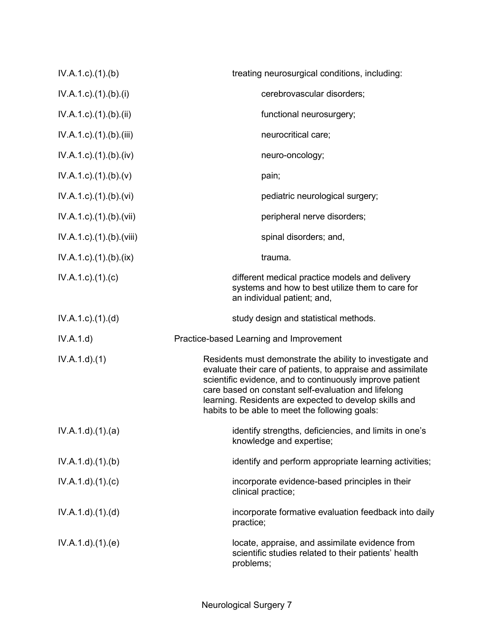| $IV.A.1.c$ . $(1).$ (b)              | treating neurosurgical conditions, including:                                                                                                                                                                                                                                                                                                           |
|--------------------------------------|---------------------------------------------------------------------------------------------------------------------------------------------------------------------------------------------------------------------------------------------------------------------------------------------------------------------------------------------------------|
| IV.A.1.c)(1)(b)(i)                   | cerebrovascular disorders;                                                                                                                                                                                                                                                                                                                              |
| $IV.A.1.c$ ). $(1)$ . $(b)$ . $(ii)$ | functional neurosurgery;                                                                                                                                                                                                                                                                                                                                |
| $IV.A.1.c$ . $(1).$ (b). $(iii)$     | neurocritical care;                                                                                                                                                                                                                                                                                                                                     |
| $IV.A.1.c$ . $(1).$ (b). $(iv)$      | neuro-oncology;                                                                                                                                                                                                                                                                                                                                         |
| $IV.A.1.c$ ). $(1)$ . $(b)$ . $(v)$  | pain;                                                                                                                                                                                                                                                                                                                                                   |
| $IV.A.1.c$ . $(1).$ $(b)$ . $(vi)$   | pediatric neurological surgery;                                                                                                                                                                                                                                                                                                                         |
| IV.A.1.c).(1).(b).(vii)              | peripheral nerve disorders;                                                                                                                                                                                                                                                                                                                             |
| IV.A.1.c).(1).(b).(viii)             | spinal disorders; and,                                                                                                                                                                                                                                                                                                                                  |
| $IV.A.1.c$ . $(1).$ $(b).$ $(ix)$    | trauma.                                                                                                                                                                                                                                                                                                                                                 |
| $IV.A.1.c$ ). $(1).$ (c)             | different medical practice models and delivery<br>systems and how to best utilize them to care for<br>an individual patient; and,                                                                                                                                                                                                                       |
| $IV.A.1.c$ . $(1).$ $(d)$            | study design and statistical methods.                                                                                                                                                                                                                                                                                                                   |
| IV.A.1.d)                            | Practice-based Learning and Improvement                                                                                                                                                                                                                                                                                                                 |
| IV.A.1.d.(1)                         | Residents must demonstrate the ability to investigate and<br>evaluate their care of patients, to appraise and assimilate<br>scientific evidence, and to continuously improve patient<br>care based on constant self-evaluation and lifelong<br>learning. Residents are expected to develop skills and<br>habits to be able to meet the following goals: |
| IV.A.1.d)(1)(a)                      | identify strengths, deficiencies, and limits in one's<br>knowledge and expertise;                                                                                                                                                                                                                                                                       |
| IV.A.1.d.(1).(b)                     | identify and perform appropriate learning activities;                                                                                                                                                                                                                                                                                                   |
| IV.A.1.d)(1)(c)                      | incorporate evidence-based principles in their<br>clinical practice;                                                                                                                                                                                                                                                                                    |
| IV.A.1.d)(1.(d))                     | incorporate formative evaluation feedback into daily<br>practice;                                                                                                                                                                                                                                                                                       |
| IV.A.1.d)(1)(e)                      | locate, appraise, and assimilate evidence from<br>scientific studies related to their patients' health<br>problems;                                                                                                                                                                                                                                     |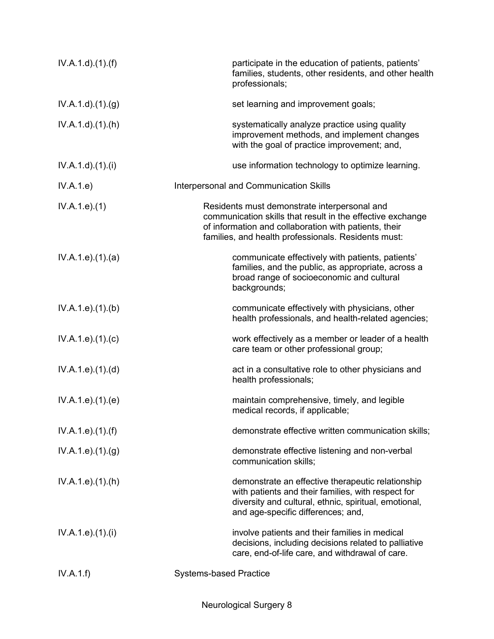| IV.A.1.d)(1.(f))             | participate in the education of patients, patients'<br>families, students, other residents, and other health<br>professionals;                                                                                             |
|------------------------------|----------------------------------------------------------------------------------------------------------------------------------------------------------------------------------------------------------------------------|
| IV.A.1.d.(1). <sub>(g)</sub> | set learning and improvement goals;                                                                                                                                                                                        |
| IV.A.1.d.(1).(h)             | systematically analyze practice using quality<br>improvement methods, and implement changes<br>with the goal of practice improvement; and,                                                                                 |
| IV.A.1.d)(1)(i)              | use information technology to optimize learning.                                                                                                                                                                           |
| IV.A.1.e)                    | Interpersonal and Communication Skills                                                                                                                                                                                     |
| IV.A.1.e. (1)                | Residents must demonstrate interpersonal and<br>communication skills that result in the effective exchange<br>of information and collaboration with patients, their<br>families, and health professionals. Residents must: |
| IV.A.1.e. (1). (a)           | communicate effectively with patients, patients'<br>families, and the public, as appropriate, across a<br>broad range of socioeconomic and cultural<br>backgrounds;                                                        |
| IV.A.1.e. (1)(b)             | communicate effectively with physicians, other<br>health professionals, and health-related agencies;                                                                                                                       |
| IV.A.1.e. (1). (c)           | work effectively as a member or leader of a health<br>care team or other professional group;                                                                                                                               |
| IV.A.1.e. (1). (d)           | act in a consultative role to other physicians and<br>health professionals;                                                                                                                                                |
| IV.A.1.e. (1). (e)           | maintain comprehensive, timely, and legible<br>medical records, if applicable;                                                                                                                                             |
| IV.A.1.e. (1). (f)           | demonstrate effective written communication skills;                                                                                                                                                                        |
| IV.A.1.e. (1)(g)             | demonstrate effective listening and non-verbal<br>communication skills;                                                                                                                                                    |
| IV.A.1.e. (1).(h)            | demonstrate an effective therapeutic relationship<br>with patients and their families, with respect for<br>diversity and cultural, ethnic, spiritual, emotional,<br>and age-specific differences; and,                     |
| IV.A.1.e. (1).(i)            | involve patients and their families in medical<br>decisions, including decisions related to palliative<br>care, end-of-life care, and withdrawal of care.                                                                  |
| IV.A.1.f)                    | <b>Systems-based Practice</b>                                                                                                                                                                                              |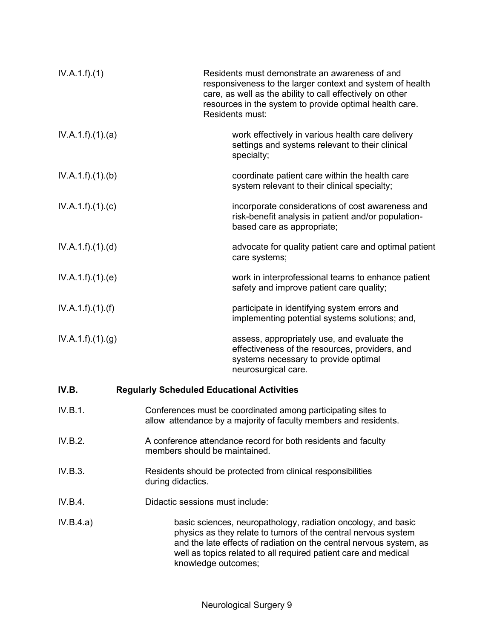| IV.A.1.f)(1)      | Residents must demonstrate an awareness of and<br>responsiveness to the larger context and system of health<br>care, as well as the ability to call effectively on other<br>resources in the system to provide optimal health care.<br>Residents must:                                           |  |
|-------------------|--------------------------------------------------------------------------------------------------------------------------------------------------------------------------------------------------------------------------------------------------------------------------------------------------|--|
| IV.A.1.f)(1)(a)   | work effectively in various health care delivery<br>settings and systems relevant to their clinical<br>specialty;                                                                                                                                                                                |  |
| IV.A.1.f)(1)(b)   | coordinate patient care within the health care<br>system relevant to their clinical specialty;                                                                                                                                                                                                   |  |
| IV.A.1.f)(1)(c)   | incorporate considerations of cost awareness and<br>risk-benefit analysis in patient and/or population-<br>based care as appropriate;                                                                                                                                                            |  |
| IV.A.1.f)(1)(d)   | advocate for quality patient care and optimal patient<br>care systems;                                                                                                                                                                                                                           |  |
| IV.A.1.f)(1)(e)   | work in interprofessional teams to enhance patient<br>safety and improve patient care quality;                                                                                                                                                                                                   |  |
| IV.A.1.f).(1).(f) | participate in identifying system errors and<br>implementing potential systems solutions; and,                                                                                                                                                                                                   |  |
| IV.A.1.f)(1)(g)   | assess, appropriately use, and evaluate the<br>effectiveness of the resources, providers, and<br>systems necessary to provide optimal<br>neurosurgical care.                                                                                                                                     |  |
| IV.B.             | <b>Regularly Scheduled Educational Activities</b>                                                                                                                                                                                                                                                |  |
| IV.B.1.           | Conferences must be coordinated among participating sites to<br>allow attendance by a majority of faculty members and residents.                                                                                                                                                                 |  |
| IV.B.2.           | A conference attendance record for both residents and faculty<br>members should be maintained.                                                                                                                                                                                                   |  |
| IV.B.3.           | Residents should be protected from clinical responsibilities<br>during didactics.                                                                                                                                                                                                                |  |
| IV.B.4.           | Didactic sessions must include:                                                                                                                                                                                                                                                                  |  |
| IV.B.4.a)         | basic sciences, neuropathology, radiation oncology, and basic<br>physics as they relate to tumors of the central nervous system<br>and the late effects of radiation on the central nervous system, as<br>well as topics related to all required patient care and medical<br>knowledge outcomes; |  |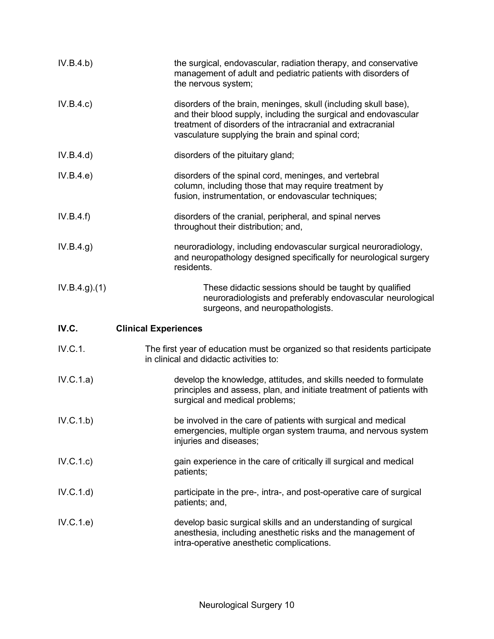| IV.B.4.b)     | the surgical, endovascular, radiation therapy, and conservative<br>management of adult and pediatric patients with disorders of<br>the nervous system;                                                                                                |
|---------------|-------------------------------------------------------------------------------------------------------------------------------------------------------------------------------------------------------------------------------------------------------|
| IV.B.4.c)     | disorders of the brain, meninges, skull (including skull base),<br>and their blood supply, including the surgical and endovascular<br>treatment of disorders of the intracranial and extracranial<br>vasculature supplying the brain and spinal cord; |
| IV.B.4.d)     | disorders of the pituitary gland;                                                                                                                                                                                                                     |
| IV.B.4.e)     | disorders of the spinal cord, meninges, and vertebral<br>column, including those that may require treatment by<br>fusion, instrumentation, or endovascular techniques;                                                                                |
| IV.B.4.f)     | disorders of the cranial, peripheral, and spinal nerves<br>throughout their distribution; and,                                                                                                                                                        |
| IV.B.4.g)     | neuroradiology, including endovascular surgical neuroradiology,<br>and neuropathology designed specifically for neurological surgery<br>residents.                                                                                                    |
| IV.B.4.g. (1) | These didactic sessions should be taught by qualified<br>neuroradiologists and preferably endovascular neurological<br>surgeons, and neuropathologists.                                                                                               |
| IV.C.         | <b>Clinical Experiences</b>                                                                                                                                                                                                                           |
| IV.C.1.       | The first year of education must be organized so that residents participate<br>in clinical and didactic activities to:                                                                                                                                |
| IV.C.1.a)     | develop the knowledge, attitudes, and skills needed to formulate<br>principles and assess, plan, and initiate treatment of patients with<br>surgical and medical problems;                                                                            |
| IV.C.1.b)     | be involved in the care of patients with surgical and medical<br>emergencies, multiple organ system trauma, and nervous system<br>injuries and diseases;                                                                                              |
| IV.C.1.c)     | gain experience in the care of critically ill surgical and medical<br>patients;                                                                                                                                                                       |
| IV.C.1.d)     | participate in the pre-, intra-, and post-operative care of surgical<br>patients; and,                                                                                                                                                                |
| IV.C.1.e)     | develop basic surgical skills and an understanding of surgical<br>anesthesia, including anesthetic risks and the management of<br>intra-operative anesthetic complications.                                                                           |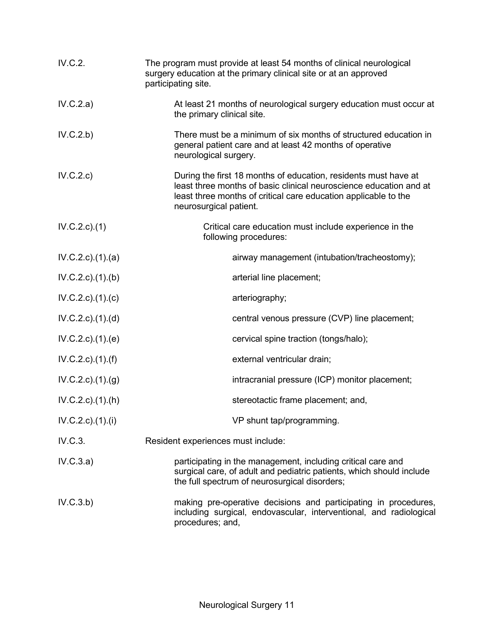| IV.C.2.                   | The program must provide at least 54 months of clinical neurological<br>surgery education at the primary clinical site or at an approved<br>participating site.                                                                    |
|---------------------------|------------------------------------------------------------------------------------------------------------------------------------------------------------------------------------------------------------------------------------|
| IV.C.2.a)                 | At least 21 months of neurological surgery education must occur at<br>the primary clinical site.                                                                                                                                   |
| IV.C.2.b)                 | There must be a minimum of six months of structured education in<br>general patient care and at least 42 months of operative<br>neurological surgery.                                                                              |
| IV.C.2.c)                 | During the first 18 months of education, residents must have at<br>least three months of basic clinical neuroscience education and at<br>least three months of critical care education applicable to the<br>neurosurgical patient. |
| IV.C.2.c.1)               | Critical care education must include experience in the<br>following procedures:                                                                                                                                                    |
| $IV.C.2.c$ . $(1).$ $(a)$ | airway management (intubation/tracheostomy);                                                                                                                                                                                       |
| IV.C.2.c)(1)(b)           | arterial line placement;                                                                                                                                                                                                           |
| $IV.C.2.c$ ). $(1).$ (c)  | arteriography;                                                                                                                                                                                                                     |
| $IV.C.2.c$ . $(1).$ $(d)$ | central venous pressure (CVP) line placement;                                                                                                                                                                                      |
| $IV.C.2.c$ . $(1).$ (e)   | cervical spine traction (tongs/halo);                                                                                                                                                                                              |
| $IV.C.2.c$ ). $(1).(f)$   | external ventricular drain;                                                                                                                                                                                                        |
| IV.C.2.c.1. (1). (g)      | intracranial pressure (ICP) monitor placement;                                                                                                                                                                                     |
| IV.C.2.c).(1).(h)         | stereotactic frame placement; and,                                                                                                                                                                                                 |
| $IV.C.2.c.$ (1).(i)       | VP shunt tap/programming.                                                                                                                                                                                                          |
| IV.C.3.                   | Resident experiences must include:                                                                                                                                                                                                 |
| IV.C.3.a)                 | participating in the management, including critical care and<br>surgical care, of adult and pediatric patients, which should include<br>the full spectrum of neurosurgical disorders;                                              |
| IV.C.3.b)                 | making pre-operative decisions and participating in procedures,<br>including surgical, endovascular, interventional, and radiological<br>procedures; and,                                                                          |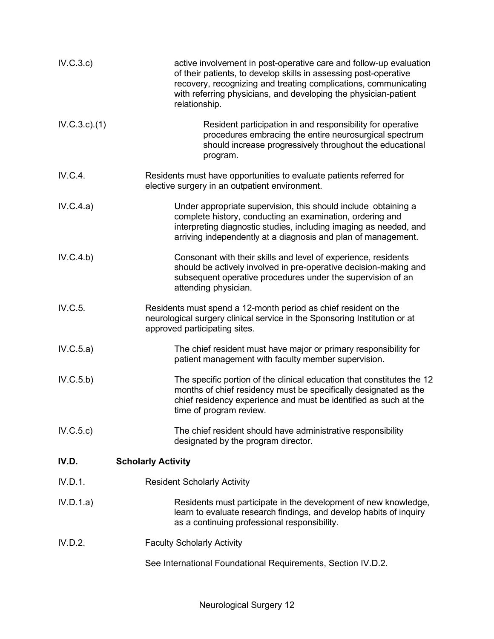| IV.C.3.c)   | active involvement in post-operative care and follow-up evaluation<br>of their patients, to develop skills in assessing post-operative<br>recovery, recognizing and treating complications, communicating<br>with referring physicians, and developing the physician-patient<br>relationship. |
|-------------|-----------------------------------------------------------------------------------------------------------------------------------------------------------------------------------------------------------------------------------------------------------------------------------------------|
| IV.C.3.c.1) | Resident participation in and responsibility for operative<br>procedures embracing the entire neurosurgical spectrum<br>should increase progressively throughout the educational<br>program.                                                                                                  |
| IV.C.4.     | Residents must have opportunities to evaluate patients referred for<br>elective surgery in an outpatient environment.                                                                                                                                                                         |
| IV.C.4.a)   | Under appropriate supervision, this should include obtaining a<br>complete history, conducting an examination, ordering and<br>interpreting diagnostic studies, including imaging as needed, and<br>arriving independently at a diagnosis and plan of management.                             |
| IV.C.4.b)   | Consonant with their skills and level of experience, residents<br>should be actively involved in pre-operative decision-making and<br>subsequent operative procedures under the supervision of an<br>attending physician.                                                                     |
| IV.C.5.     | Residents must spend a 12-month period as chief resident on the<br>neurological surgery clinical service in the Sponsoring Institution or at<br>approved participating sites.                                                                                                                 |
| IV.C.5.a)   | The chief resident must have major or primary responsibility for<br>patient management with faculty member supervision.                                                                                                                                                                       |
| IV.C.5.b)   | The specific portion of the clinical education that constitutes the 12<br>months of chief residency must be specifically designated as the<br>chief residency experience and must be identified as such at the<br>time of program review.                                                     |
| IV.C.5.c)   | The chief resident should have administrative responsibility<br>designated by the program director.                                                                                                                                                                                           |
| IV.D.       | <b>Scholarly Activity</b>                                                                                                                                                                                                                                                                     |
| IV.D.1.     | <b>Resident Scholarly Activity</b>                                                                                                                                                                                                                                                            |
| IV.D.1.a)   | Residents must participate in the development of new knowledge,<br>learn to evaluate research findings, and develop habits of inquiry<br>as a continuing professional responsibility.                                                                                                         |
| IV.D.2.     | <b>Faculty Scholarly Activity</b>                                                                                                                                                                                                                                                             |
|             | See International Foundational Requirements, Section IV.D.2.                                                                                                                                                                                                                                  |